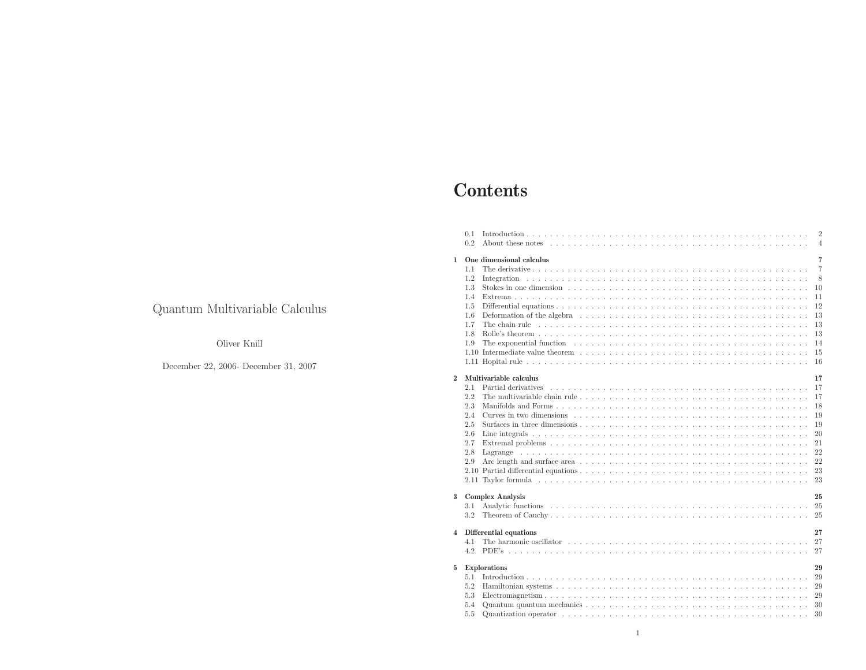# Contents

|                         | 0.1<br>0.2 | $\overline{2}$<br>$\overline{4}$                                                                                                                                                                                                     |
|-------------------------|------------|--------------------------------------------------------------------------------------------------------------------------------------------------------------------------------------------------------------------------------------|
|                         |            |                                                                                                                                                                                                                                      |
| 1                       |            | 7<br>One dimensional calculus                                                                                                                                                                                                        |
|                         | 1.1        | $\overline{7}$                                                                                                                                                                                                                       |
|                         | 1.2        | 8                                                                                                                                                                                                                                    |
|                         | 1.3        | 10                                                                                                                                                                                                                                   |
|                         | 1.4        | 11                                                                                                                                                                                                                                   |
|                         | 1.5        | 12                                                                                                                                                                                                                                   |
|                         | 1.6        | Deformation of the algebra entering in the set of the set of the set of the set of the set of the set of the set of the set of the set of the set of the set of the set of the set of the set of the set of the set of the set<br>13 |
|                         | 1.7        | 13                                                                                                                                                                                                                                   |
|                         | 1.8        | 13                                                                                                                                                                                                                                   |
|                         | 1.9        | 14                                                                                                                                                                                                                                   |
|                         |            | 1.10 Intermediate value theorem $\ldots$ , $\ldots$ , $\ldots$ , $\ldots$ , $\ldots$ , $\ldots$ , $\ldots$ , $\ldots$ , $\ldots$ , $\ldots$ , $\ldots$ , $\ldots$<br>15                                                              |
|                         |            | 16                                                                                                                                                                                                                                   |
| $\overline{2}$          |            | Multivariable calculus<br>17                                                                                                                                                                                                         |
|                         | 2.1        | Partial derivatives experience in the contract of the contract of the contract of the contract of the contract of the contract of the contract of the contract of the contract of the contract of the contract of the contract<br>17 |
|                         | 2.2        | The multivariable chain rule $\ldots \ldots \ldots \ldots \ldots \ldots \ldots \ldots \ldots \ldots \ldots \ldots \ldots$<br>17                                                                                                      |
|                         | 2.3        | 18                                                                                                                                                                                                                                   |
|                         | 2.4        | Curves in two dimensions $\ldots$ , $\ldots$ , $\ldots$ , $\ldots$ , $\ldots$ , $\ldots$ , $\ldots$ , $\ldots$ , $\ldots$ , $\ldots$ , $\ldots$ , $\ldots$<br>19                                                                     |
|                         | 2.5        | 19                                                                                                                                                                                                                                   |
|                         | 2.6        | 20                                                                                                                                                                                                                                   |
|                         | 2.7        | 21                                                                                                                                                                                                                                   |
|                         | 2.8        | 22                                                                                                                                                                                                                                   |
|                         | 2.9        | 22                                                                                                                                                                                                                                   |
|                         |            | 23                                                                                                                                                                                                                                   |
|                         |            | 23                                                                                                                                                                                                                                   |
| $\bf{3}$                |            | <b>Complex Analysis</b><br>25                                                                                                                                                                                                        |
|                         | 3.1        | -25                                                                                                                                                                                                                                  |
|                         | 3.2        | 25                                                                                                                                                                                                                                   |
| $\overline{\mathbf{4}}$ |            | Differential equations<br>27                                                                                                                                                                                                         |
|                         | 4.1        | The harmonic oscillator $\ldots$ $\ldots$ $\ldots$ $\ldots$ $\ldots$ $\ldots$ $\ldots$ $\ldots$ $\ldots$ $\ldots$ $\ldots$ $\ldots$ $\ldots$ $\ldots$<br>27                                                                          |
|                         | 4.2        | 27                                                                                                                                                                                                                                   |
|                         |            |                                                                                                                                                                                                                                      |
| 5                       |            | Explorations<br>29<br>29                                                                                                                                                                                                             |
|                         | 5.1<br>5.2 | 29                                                                                                                                                                                                                                   |
|                         | 5.3        |                                                                                                                                                                                                                                      |
|                         | 5.4        | 29<br>30                                                                                                                                                                                                                             |
|                         |            |                                                                                                                                                                                                                                      |
|                         | 5.5        | 30                                                                                                                                                                                                                                   |

### Quantum Multivariable Calculus

### Oliver Knill

### December 22, 2006- December 31, <sup>2007</sup>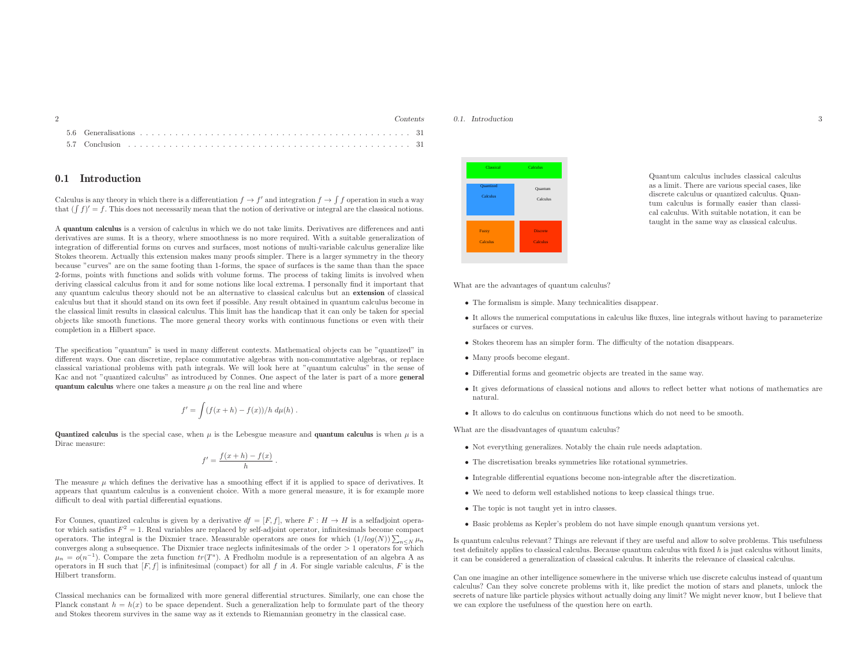|  | $'$ ontents |
|--|-------------|
|  |             |
|  |             |

#### 0.1 Introduction

Calculus is any theory in which there is a differentiation  $f \to f'$  and integration  $f \to f f$  operation in such a way<br>that  $(f f)' = f$ . This does not necessarily mean that the notion of derivative or integral are the classical n that  $(\int f)' = f$ . This does not necessarily mean that the notion of derivative or integral are the classical notions.

A quantum calculus is <sup>a</sup> version of calculus in which we do not take limits. Derivatives are differences and anti derivatives are sums. It is <sup>a</sup> theory, where smoothness is no more required. With <sup>a</sup> suitable generalization of integration of differential forms on curves and surfaces, most notions of multi-variable calculus generalize like Stokes theorem. Actually this extension makes many proofs simpler. There is <sup>a</sup> larger symmetry in the theory because "curves" are on the same footing than 1-forms, the space of surfaces is the same than than the space 2-forms, points with functions and solids with volume forms. The process of taking limits is involved when deriving classical calculus from it and for some notions like local extrema. <sup>I</sup> personally find it important that any quantum calculus theory should not be an alternative to classical calculus but an extension of classical calculus but that it should stand on its own feet if possible. Any result obtained in quantum calculus become in the classical limit results in classical calculus. This limit has the handicap that it can only be taken for special objects like smooth functions. The more genera<sup>l</sup> theory works with continuous functions or even with their completion in <sup>a</sup> Hilbert space.

The specification "quantum" is used in many different contexts. Mathematical objects can be "quantized" in different ways. One can discretize, replace commutative algebras with non-commutative algebras, or replace classical variational problems with path integrals. We will look here at "quantum calculus" in the sense of Kac and not "quantized calculus" as introduced by Connes. One aspect of the later is part of <sup>a</sup> more genera<sup>l</sup> quantum calculus where one takes a measure  $\mu$  on the real line and where

$$
f' = \int (f(x+h) - f(x))/h \, d\mu(h) \, .
$$

**Quantized calculus** is the special case, when  $\mu$  is the Lebesgue measure and **quantum calculus** is when  $\mu$  is a Dirac measure:

$$
f' = \frac{f(x+h) - f(x)}{h}.
$$

The measure  $\mu$  which defines the derivative has a smoothing effect if it is applied to space of derivatives. It appears that quantum calculus is <sup>a</sup> convenient choice. With <sup>a</sup> more genera<sup>l</sup> measure, it is for example more difficult to deal with partial differential equations.

For Connes, quantized calculus is given by a derivative  $df = [F, f]$ , where  $F : H \to H$  is a selfadjoint opera-<br>for which satisfies  $F^2 - 1$ . Real variables are replaced by self-adjoint operator, infinitesimals become connect tor which satisfies  $F^2 = 1$ . Real variables are replaced by self-adjoint operator, infinitesimals become compact operators. The integral is the Dixmier trace. Measurable operators are ones for which  $(1/log(N))\sum_{n\leq N}\mu_n$ operators. The integral is the Dixmier trace. Measurable operators are ones for which  $(1/\log(N)) \sum_{n \leq N} \mu_n$ <br>converges along a subsequence. The Dixmier trace neglects infinitesimals of the order > 1 operators for which  $\mu_n = o(n^{-1})$ . Compare the zeta function  $tr(T^s)$ . A Fredholm module is a representation of an algebra A as operators in H such that  $[F, f]$  is infinitesimal (compact) for all f in A. For single variable calculus, F is the Hilbert transform.

Classical mechanics can be formalized with more genera<sup>l</sup> differential structures. Similarly, one can chose the Planck constant  $h = h(x)$  to be space dependent. Such a generalization help to formulate part of the theory and Stokes theorem survives in the same way as it extends to Riemannian geometry in the classical case.

0.1. Introduction



Quantum calculus includes classical calculus as <sup>a</sup> limit. There are various special cases, like discrete calculus or quantized calculus. Quantum calculus is formally easier than classical calculus. With suitable notation, it can be taught in the same way as classical calculus.

What are the advantages of quantum calculus?

- The formalism is simple. Many technicalities disappear.
- It allows the numerical computations in calculus like fluxes, line integrals without having to parameterize surfaces or curves.
- Stokes theorem has an simpler form. The difficulty of the notation disappears.
- Many proofs become elegant.
- Differential forms and geometric objects are treated in the same way.
- It <sup>g</sup>ives deformations of classical notions and allows to reflect better what notions of mathematics are natural.
- It allows to do calculus on continuous functions which do not need to be smooth.

What are the disadvantages of quantum calculus?

- Not everything generalizes. Notably the chain rule needs adaptation.
- The discretisation breaks symmetries like rotational symmetries.
- Integrable differential equations become non-integrable after the discretization.
- We need to deform well established notions to keep classical things true.
- The topic is not taught yet in intro classes.
- Basic problems as Kepler's problem do not have simple enoug<sup>h</sup> quantum versions yet.

Is quantum calculus relevant? Things are relevant if they are useful and allow to solve problems. This usefulness test definitely applies to classical calculus. Because quantum calculus with fixed  $h$  is just calculus without limits, it can be considered <sup>a</sup> generalization of classical calculus. It inherits the relevance of classical calculus.

Can one imagine an other intelligence somewhere in the universe which use discrete calculus instead of quantum calculus? Can they solve concrete problems with it, like predict the motion of stars and <sup>p</sup>lanets, unlock the secrets of nature like particle <sup>p</sup>hysics without actually doing any limit? We might never know, but <sup>I</sup> believe that we can explore the usefulness of the question here on earth.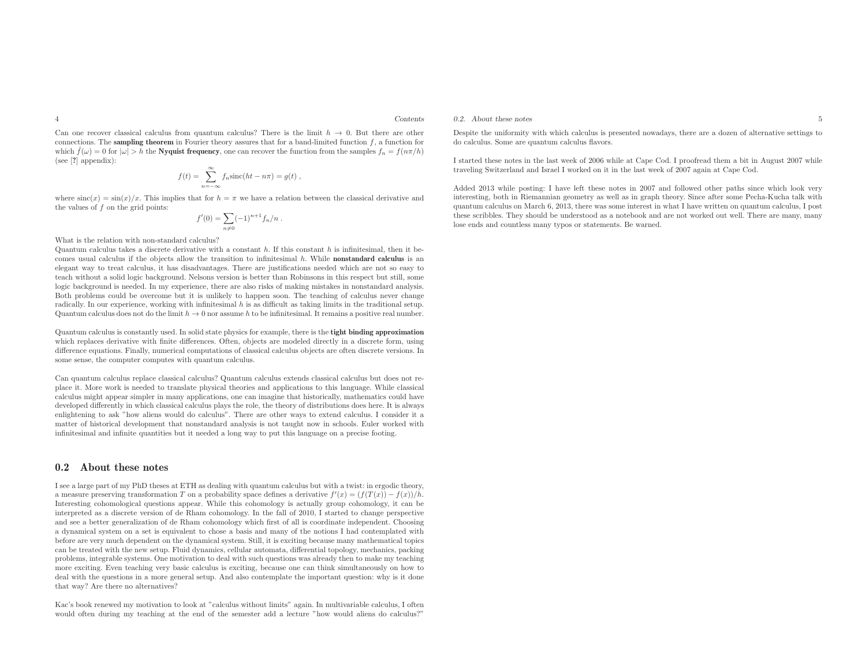Can one recover classical calculus from quantum calculus? There is the limit  $h \to 0$ . But there are other<br>connections. The **sampling theorem** in Fourier theory assumes that for a hand-limited function f a function for connections. The **sampling theorem** in Fourier theory assures that for a band-limited function f, a function for<br>which  $\hat{f}(\alpha) = 0$  for label  $\Sigma$ , this Nurmiat fraction as a cap account the function from the complex fun which  $\hat{f}(\omega) = 0$  for  $|\omega| > h$  the **Nyquist frequency**, one can recover the function from the samples  $f_n = f(n\pi/h)$ (see [?] appendix):

$$
f(t) = \sum_{n = -\infty}^{\infty} f_n \operatorname{sinc}(ht - n\pi) = g(t) ,
$$

where  $\operatorname{sinc}(x) = \sin(x)/x$ . This implies that for  $h = \pi$  we have a relation between the classical derivative and the values of  $f$  on the grid points:

$$
f'(0) = \sum_{n \neq 0} (-1)^{n+1} f_n/n.
$$

What is the relation with non-standard calculus?

Quantum calculus takes a discrete derivative with a constant h. If this constant h is infinitesimal, then it becomes usual calculus if the objects allow the transition to infinitesimal <sup>h</sup>. While nonstandard calculus is an elegant way to treat calculus, it has disadvantages. There are justifications needed which are not so easy to teach without <sup>a</sup> solid logic background. Nelsons version is better than Robinsons in this respect but still, some logic background is needed. In my experience, there are also risks of making mistakes in nonstandard analysis. Both problems could be overcome but it is unlikely to happen soon. The teaching of calculus never change radically. In our experience, working with infinitesimal <sup>h</sup> is as difficult as taking limits in the traditional setup. Quantum calculus does not do the limit  $h \to 0$  nor assume h to be infinitesimal. It remains a positive real number.

Quantum calculus is constantly used. In solid state <sup>p</sup>hysics for example, there is the tight binding approximation which replaces derivative with finite differences. Often, objects are modeled directly in <sup>a</sup> discrete form, using difference equations. Finally, numerical computations of classical calculus objects are often discrete versions. Insome sense, the computer computes with quantum calculus.

Can quantum calculus replace classical calculus? Quantum calculus extends classical calculus but does not re<sup>p</sup>lace it. More work is needed to translate <sup>p</sup>hysical theories and applications to this language. While classical calculus might appear simpler in many applications, one can imagine that historically, mathematics could have developed differently in which classical calculus <sup>p</sup>lays the role, the theory of distributions does here. It is always enlightening to ask "how aliens would do calculus". There are other ways to extend calculus. <sup>I</sup> consider it <sup>a</sup> matter of historical development that nonstandard analysis is not taught now in schools. Euler worked withinfinitesimal and infinite quantities but it needed <sup>a</sup> long way to put this language on <sup>a</sup> precise footing.

#### 0.2 About these notes

<sup>I</sup> see <sup>a</sup> large part of my PhD theses at ETH as dealing with quantum calculus but with <sup>a</sup> twist: in ergodic theory, a measure preserving transformation T on a probability space defines a derivative  $f'(x) = (f(T(x)) - f(x))/h$ . Interesting cohomological questions appear. While this cohomology is actually group cohomology, it can be interpreted as <sup>a</sup> discrete version of de Rham cohomology. In the fall of 2010, <sup>I</sup> started to change perspective and see <sup>a</sup> better generalization of de Rham cohomology which first of all is coordinate independent. Choosing <sup>a</sup> dynamical system on <sup>a</sup> set is equivalent to chose <sup>a</sup> basis and many of the notions <sup>I</sup> had contemplated with before are very much dependent on the dynamical system. Still, it is exciting because many mathematical topics can be treated with the new setup. Fluid dynamics, cellular automata, differential topology, mechanics, packing problems, integrable systems. One motivation to deal with such questions was already then to make my teaching more exciting. Even teaching very basic calculus is exciting, because one can think simultaneously on how to deal with the questions in <sup>a</sup> more genera<sup>l</sup> setup. And also contemplate the important question: why is it done that way? Are there no alternatives?

Kac's book renewed my motivation to look at "calculus without limits" again. In multivariable calculus, <sup>I</sup> oftenwould often during my teaching at the end of the semester add <sup>a</sup> lecture "how would aliens do calculus?"

Despite the uniformity with which calculus is presented nowadays, there are <sup>a</sup> dozen of alternative settings to do calculus. Some are quantum calculus flavors.

<sup>I</sup> started these notes in the last week of <sup>2006</sup> while at Cape Cod. <sup>I</sup> proofread them <sup>a</sup> bit in August <sup>2007</sup> while traveling Switzerland and Israel <sup>I</sup> worked on it in the last week of <sup>2007</sup> again at Cape Cod.

Added <sup>2013</sup> while posting: <sup>I</sup> have left these notes in <sup>2007</sup> and followed other paths since which look very interesting, both in Riemannian geometry as well as in grap<sup>h</sup> theory. Since after some Pecha-Kucha talk with quantum calculus on March 6, 2013, there was some interest in what <sup>I</sup> have written on quantum calculus, <sup>I</sup> post these scribbles. They should be understood as <sup>a</sup> notebook and are not worked out well. There are many, manylose ends and countless many typos or statements. Be warned.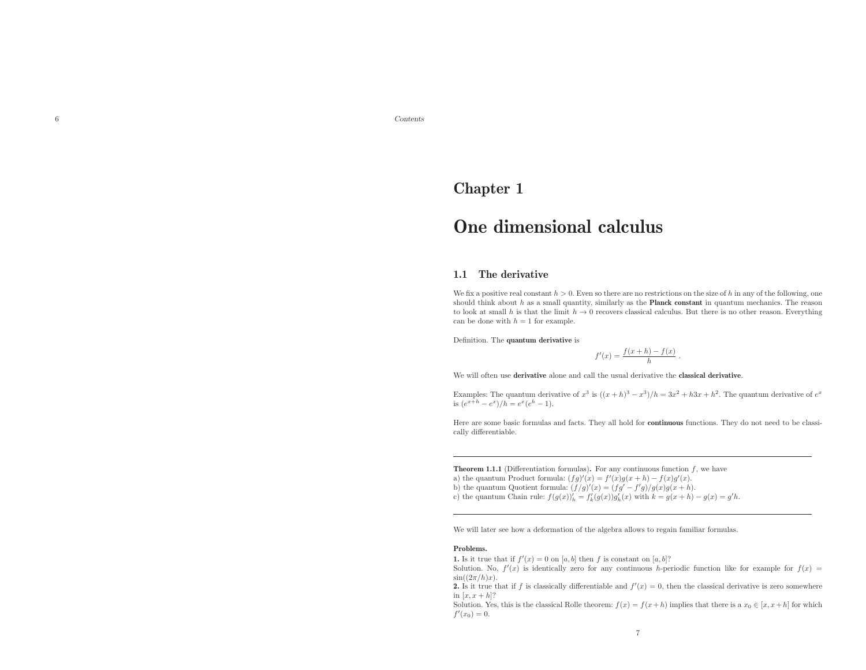Contents Contents Contents Contents Contents Contents Contents Contents Contents Contents Contents Contents Contents Contents Contents Contents Contents Contents Contents Contents Contents Contents Contents Contents Conten

6

### Chapter <sup>1</sup>

## One dimensional calculus

#### 1.1 The derivative

We fix a positive real constant  $h > 0$ . Even so there are no restrictions on the size of h in any of the following, one should think about  $h$  as a small quantity, similarly as the **Planck constant** in quantum mechanics. The reason to look at small h is that the limit  $h \to 0$  recovers classical calculus. But there is no other reason. Everything<br>can be done with  $h = 1$  for example can be done with  $h = 1$  for example.

Definition. The quantum derivative is

$$
f'(x) = \frac{f(x+h) - f(x)}{h}.
$$

We will often use **derivative** alone and call the usual derivative the **classical derivative**.

Examples: The quantum derivative of  $x^3$  is  $((x+h)^3 - x^3)/h = 3x^2 + h3x + h^2$ . The quantum derivative of  $e^x$ is  $(e^{x+h}-e^x)/h=e^x(e^h-1)$ .

Here are some basic formulas and facts. They all hold for continuous functions. They do not need to be classically differentiable.

**Theorem 1.1.1** (Differentiation formulas). For any continuous function  $f$ , we have

- a) the quantum Product formula:  $(fg)'(x) = f'(x)g(x+h) f(x)g'(x)$ .
- b) the quantum Quotient formula:  $(f/g)'(x) = (fg' f'g)/g(x)g(x+h)$ . c) the quantum Chain rule:  $f(g(x))'_h = f'_k(g(x))g'_h(x)$  with  $k = g(x + h) - g(x) = g'h$ .

We will later see how <sup>a</sup> deformation of the algebra allows to regain familiar formulas.

#### Problems.

**1.** Is it true that if  $f'(x) = 0$  on [a, b] then f is constant on [a, b]?

Solution. No,  $f'(x)$  is identically zero for any continuous h-periodic function like for example for  $f(x)$  $\sin((2\pi/h)x)$ .

2. Is it true that if f is classically differentiable and  $f'(x) = 0$ , then the classical derivative is zero somewhere in  $[x, x+h]$ ?

Solution. Yes, this is the classical Rolle theorem:  $f(x) = f(x+h)$  implies that there is a  $x_0 \in [x, x+h]$  for which  $f'(x_0) = 0.$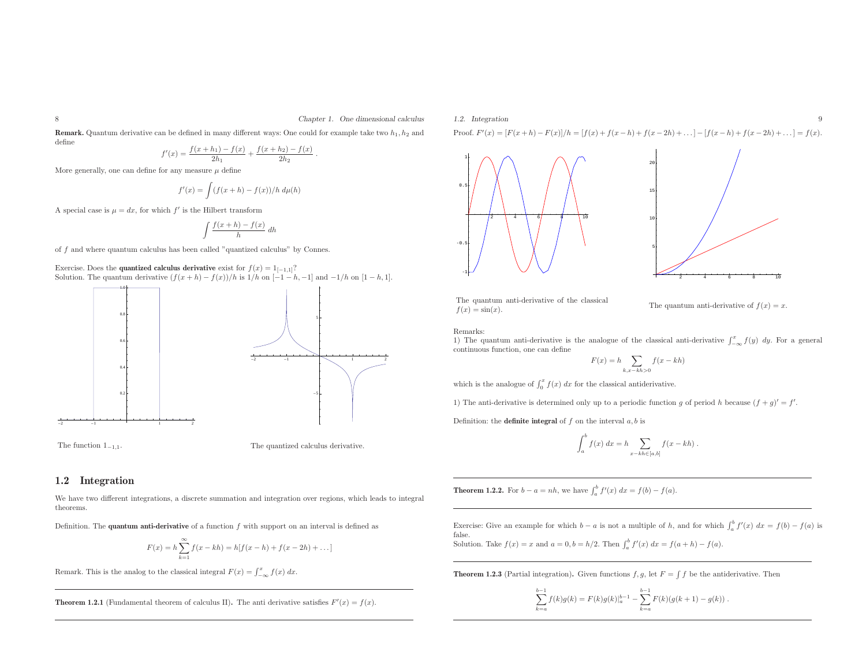**Remark.** Quantum derivative can be defined in many different ways: One could for example take two  $h_1, h_2$  and define $f(x + h) = f(x) - f(x) + h(x)$ 

$$
f'(x) = \frac{f(x+h_1) - f(x)}{2h_1} + \frac{f(x+h_2) - f(x)}{2h_2}.
$$

More generally, one can define for any measure  $\mu$  define

$$
f'(x) = \int (f(x+h) - f(x))/h \ d\mu(h)
$$

A special case is  $\mu = dx$ , for which  $f'$  is the Hilbert transform

$$
\int \frac{f(x+h) - f(x)}{h} \, dh
$$

of f and where quantum calculus has been called "quantized calculus" by Connes.

Exercise. Does the **quantized calculus derivative** exist for  $f(x) = 1_{[-1,1]}$ ? Solution. The quantum derivative  $(f(x+h) - f(x))/h$  is  $1/h$  on  $[-1-h,-1]$  and  $-1/h$  on  $[1-h,1]$ .





-2

The function  $1_{-1,1}$ . The quantized calculus derivative.

#### 1.2 Integration

We have two different integrations, <sup>a</sup> discrete summation and integration over regions, which leads to integral theorems.

Definition. The **quantum anti-derivative** of a function  $f$  with support on an interval is defined as

$$
F(x) = h \sum_{k=1}^{\infty} f(x - kh) = h[f(x - h) + f(x - 2h) + ...]
$$

Remark. This is the analog to the classical integral  $F(x) = \int_{-\infty}^{x} f(x) dx$ .

**Theorem 1.2.1** (Fundamental theorem of calculus II). The anti derivative satisfies  $F'(x) = f(x)$ .

#### 1.2. Integration $n \geq 9$

Proof.  $F'(x) = [F(x+h) - F(x)]/h = [f(x) + f(x-h) + f(x-2h) + ...] - [f(x-h) + f(x-2h) + ...] = f(x).$ 



The quantum anti-derivative of the classical  $f(x) = \sin(x)$ .

The quantum anti-derivative of  $f(x) = x$ .

Remarks:

1) The quantum anti-derivative is the analogue of the classical anti-derivative  $\int_{-\infty}^{x} f(y) dy$ . For a general continuous function one can define continuous function, one can define

$$
F(x) = h \sum_{k, x - kh > 0} f(x - kh)
$$

which is the analogue of  $\int_0^x f(x) dx$  for the classical antiderivative.

1) The anti-derivative is determined only up to a periodic function g of period h because  $(f + g)' = f'$ .

Definition: the **definite integral** of  $f$  on the interval  $a, b$  is

$$
\int_a^b f(x) dx = h \sum_{x-kh \in [a,b]} f(x - kh) .
$$

**Theorem 1.2.2.** For  $b - a = nh$ , we have  $\int_a^b f'(x) dx = f(b) - f(a)$ .

Exercise: Give an example for which  $b - a$  is not a multiple of h, and for which  $\int_a^b f'(x) dx = f(b) - f(a)$  is false.Solution. Take  $f(x) = x$  and  $a = 0, b = h/2$ . Then  $\int_a^b f'(x) dx = f(a+h) - f(a)$ .

**Theorem 1.2.3** (Partial integration). Given functions  $f, g$ , let  $F = \int f$  be the antiderivative. Then

$$
\sum_{k=a}^{b-1} f(k)g(k) = F(k)g(k)|_a^{b-1} - \sum_{k=a}^{b-1} F(k)(g(k+1) - g(k)).
$$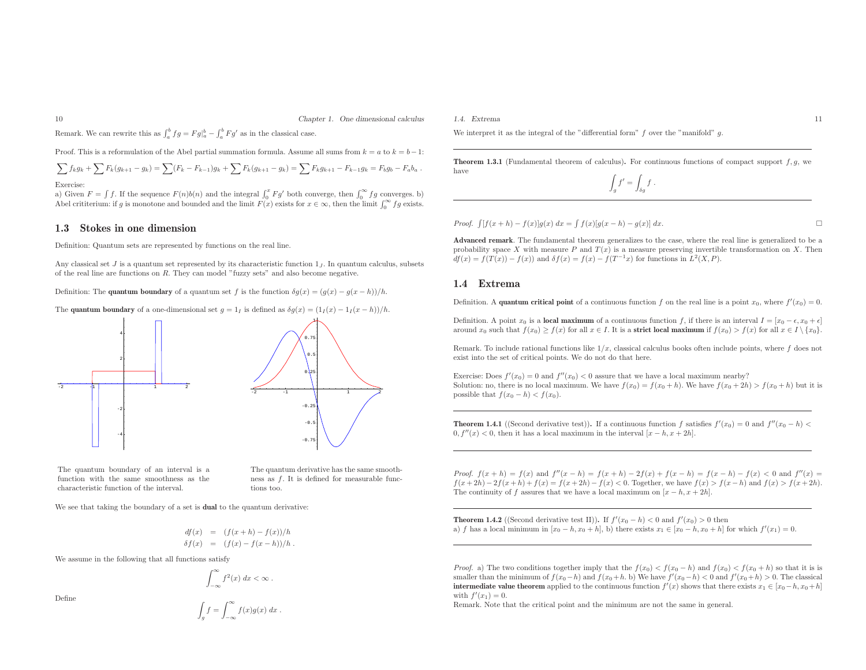Remark. We can rewrite this as  $\int_a^b fg = F g\vert_a^b - \int_a^b F g'$  as in the classical case.

Proof. This is a reformulation of the Abel partial summation formula. Assume all sums from  $k = a$  to  $k = b - 1$ :

$$
\sum f_k g_k + \sum F_k (g_{k+1} - g_k) = \sum (F_k - F_{k-1}) g_k + \sum F_k (g_{k+1} - g_k) = \sum F_k g_{k+1} - F_{k-1} g_k = F_b g_b - F_a b_a.
$$
  
Exercise:

a) Given  $F = \int f$ . If the sequence  $F(n)b(n)$  and the integral  $\int_0^x F g'$  both converge, then  $\int_0^\infty f g$  converges. b) Abel crititerium: if g is monotone and bounded and the limit  $F(x)$  exists for  $x \in \infty$ , then the limit  $\int_0^\infty fg$  exists.

#### 1.3 Stokes in one dimension

Definition: Quantum sets are represented by functions on the real line.

Any classical set  $J$  is a quantum set represented by its characteristic function  $1_J$ . In quantum calculus, subsets of the real line are functions on <sup>R</sup>. They can model "fuzzy sets" and also become negative.

Definition: The **quantum boundary** of a quantum set f is the function  $\delta g(x) = (g(x) - g(x - h))/h$ .

The **quantum boundary** of a one-dimensional set  $g = 1_I$  is defined as  $\delta g(x) = (1_I(x) - 1_I(x - h))/h$ .



The quantum boundary of an interval is <sup>a</sup> function with the same smoothness as the characteristic function of the interval.

The quantum derivative has the same smoothness as  $f$ . It is defined for measurable functions too.

We see that taking the boundary of a set is **dual** to the quantum derivative:

$$
df(x) = (f(x+h) - f(x))/h
$$
  
\n
$$
\delta f(x) = (f(x) - f(x-h))/h.
$$

We assume in the following that all functions satisfy

$$
\int_{-\infty}^{\infty} f^2(x) \, dx < \infty \, .
$$

Define

$$
\int_g f = \int_{-\infty}^{\infty} f(x)g(x) \ dx .
$$

1.4. Extrema <sup>11</sup>

We interpret it as the integral of the "differential form"  $f$  over the "manifold"  $q$ .

**Theorem 1.3.1** (Fundamental theorem of calculus). For continuous functions of compact support  $f, g$ , we have

$$
\int_g f' = \int_{\delta g} f .
$$

*Proof.*  $\int [f(x+h) - f(x)]g(x) dx = \int f(x)[g(x-h) - g(x)] dx$ . □

Advanced remark. The fundamental theorem generalizes to the case, where the real line is generalized to be <sup>a</sup> probability space <sup>X</sup> with measure <sup>P</sup> and <sup>T</sup> (x) is <sup>a</sup> measure preserving invertible transformation on <sup>X</sup>. Then  $df(x) = f(T(x)) - f(x)$  and  $\delta f(x) = f(x) - f(T^{-1}x)$  for functions in  $L^2(X, P)$ .

#### 1.4 Extrema

Definition. A **quantum critical point** of a continuous function f on the real line is a point  $x_0$ , where  $f'(x_0) = 0$ .

Definition. A point  $x_0$  is a **local maximum** of a continuous function f, if there is an interval  $I = [x_0 - \epsilon, x_0 + \epsilon]$ around  $x_0$  such that  $f(x_0) \ge f(x)$  for all  $x \in I$ . It is a **strict local maximum** if  $f(x_0) > f(x)$  for all  $x \in I \setminus \{x_0\}$ .

Remark. To include rational functions like  $1/x$ , classical calculus books often include points, where f does not exist into the set of critical points. We do not do that here.

Exercise: Does  $f'(x_0) = 0$  and  $f''(x_0) < 0$  assure that we have a local maximum nearby? Solution: no, there is no local maximum. We have  $f(x_0) = f(x_0 + h)$ . We have  $f(x_0 + 2h) > f(x_0 + h)$  but it is possible that  $f(x_0 - h) < f(x_0)$ .

**Theorem 1.4.1** ((Second derivative test)). If a continuous function f satisfies  $f'(x_0) = 0$  and  $f''(x_0 - h) <$  $0, f''(x) < 0$ , then it has a local maximum in the interval  $[x - h, x + 2h]$ .

Proof.  $f(x + h) = f(x)$  and  $f''(x - h) = f(x + h) - 2f(x) + f(x - h) = f(x - h) - f(x) < 0$  and  $f''(x) = f(x + h) - 2f(x) + f(x - h) = f(x - h) - f(x)$  $f(x+2h) - 2f(x+h) + f(x) = f(x+2h) - f(x) < 0$ . Together, we have  $f(x) > f(x-h)$  and  $f(x) > f(x+2h)$ . The continuity of f assures that we have a local maximum on  $[x - h, x + 2h]$ .

**Theorem 1.4.2** ((Second derivative test II)). If  $f'(x_0 - h) < 0$  and  $f'(x_0) > 0$  then a) f has a local minimum in  $[x_0 - h, x_0 + h]$ , b) there exists  $x_1 \in [x_0 - h, x_0 + h]$  for which  $f'(x_1) = 0$ .

*Proof.* a) The two conditions together imply that the  $f(x_0) < f(x_0 - h)$  and  $f(x_0) < f(x_0 + h)$  so that it is is smaller than the minimum of  $f(x_0-h)$  and  $f(x_0+h)$ . We have  $f'(x_0-h) < 0$  and  $f'(x_0+h) > 0$ . The classical **intermediate value theorem** applied to the continuous function  $f'(x)$  shows that there exists  $x_1 \in [x_0 - h, x_0 + h]$ with  $f'(x_1) = 0$ .

Remark. Note that the critical point and the minimum are not the same in general.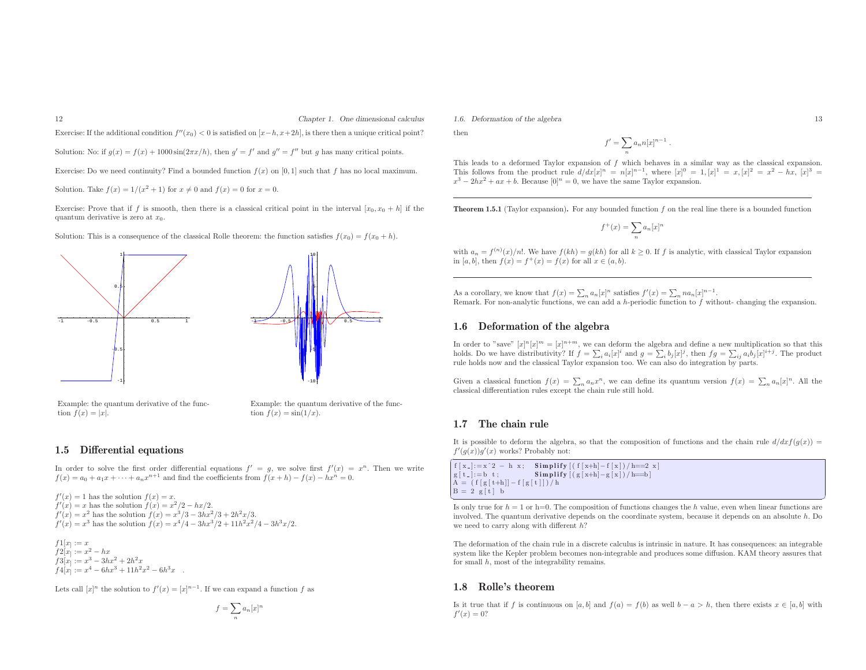Exercise: If the additional condition  $f''(x_0) < 0$  is satisfied on  $[x-h, x+2h]$ , is there then a unique critical point?

Solution: No: if  $g(x) = f(x) + 1000 \sin(2\pi x/h)$ , then  $g' = f'$  and  $g'' = f''$  but g has many critical points.

Exercise: Do we need continuity? Find a bounded function  $f(x)$  on [0, 1] such that f has no local maximum.

Solution. Take  $f(x) = 1/(x^2 + 1)$  for  $x \neq 0$  and  $f(x) = 0$  for  $x = 0$ .

Exercise: Prove that if f is smooth, then there is a classical critical point in the interval  $[x_0, x_0 + h]$  if the quantum derivative is zero at  $x_0$ .

Solution: This is a consequence of the classical Rolle theorem: the function satisfies  $f(x_0) = f(x_0 + h)$ .



- Example: the quantum derivative of the function  $f(x) =$
- Example: the quantum derivative of the func-<br>tion  $f(x) = \sin(1/x)$ .

#### 1.5 Differential equations

In order to solve the first order differential equations  $f' = g$ , we solve first  $f'(x) = x^n$ . Then we write  $f(x) = a_0 + a_1x + \cdots + a_nx^{n+1}$  and find the coefficients from  $f(x+h) - f(x) - hx^n = 0$ .

 $f'(x) = 1$  has the solution  $f(x) =$  $f'(x) = 1$  has the solution  $f(x) = x$ .<br>  $f'(x) = x$  has the solution  $f(x) = x^2/2 - hx/2$ .  $f'(x) = x^2$  has the solution  $f(x) = x^3/3 - 3hx^2/3 + 2h^2x/3$ .  $f'(x) = x^3$  has the solution  $f(x) = x^4/4 - 3hx^3/2 + 11h^2x^2/4 - 3h^3x/2$ .

 $f1[x] := x$  $f2[x] := x^2 - hx$  $f3[x] := x^3 - 3hx^2 + 2h^2x$  $f4[x] := x^4 - 6hx^3 + 11h^2x^2 - 6h^3x$ 

Lets call  $[x]^n$  the solution to  $f'(x) = [x]^{n-1}$ . If we can expand a function f as

$$
f = \sum_{n} a_n [x]^n
$$

1.6. Deformation of the algebra 13

then

$$
f' = \sum_{n} a_n n[x]^{n-1} .
$$

 This leads to <sup>a</sup> deformed Taylor expansion of f which behaves in <sup>a</sup> similar way as the classical expansion. This follows from the product rule  $d/dx[x]^n = n[x]^{n-1}$ , where  $[x]^0 = 1$ ,  $[x]^1 = x$ ,  $[x]^2 = x^2 - hx$ ,  $[x]^3 =$  $x^3 - 2hx^2 + ax + b$ . Because  $[0]^n = 0$ , we have the same Taylor expansion.

**Theorem 1.5.1** (Taylor expansion). For any bounded function  $f$  on the real line there is a bounded function

$$
f^+(x)=\sum_n a_n [x]^n
$$

with  $a_n = f^{(n)}(x)/n!$ . We have  $f(kh) = g(kh)$  for all  $k \ge 0$ . If f is analytic, with classical Taylor expansion in [a, b], then  $f(x) = f^{+}(x) = f(x)$  for all  $x \in (a, b)$ .

As a corollary, we know that  $f(x) = \sum_n a_n[x]^n$  satisfies  $f'(x) = \sum_n na_n[x]^{n-1}$ . Remark. For non-analytic functions, we can add a h-periodic function to  $f$  without- changing the expansion.

#### 1.6 Deformation of the algebra

In order to "save"  $[x]^n[x]^m = [x]^{n+m}$ , we can deform the algebra and define a new multiplication so that this holds. Do we have distributivity? If  $f = \sum_i a_i[x]^i$  and  $g = \sum_i b_j[x]^j$ , then  $fg = \sum_{ij} a_i b_j[x]^{i+j}$ . The product rule holds now and the classical Taylor expansion too. We can also do integration by parts.

Given a classical function  $f(x) = \sum_n a_n x^n$ , we can define its quantum version  $f(x) = \sum_n a_n [x]^n$ . All the classical differentiation rules except the chain rule still hold.

#### 1.7 The chain rule

✝

It is possible to deform the algebra, so that the composition of functions and the chain rule  $d/dxf(g(x)) =$  $f'(q(x))q'(x)$  works? Probably not:

 $\left\{ \begin{array}{ll} f[x_+] := x^2 - h(x; \quad \textbf{Simplify} [(f[x+h]-f[x])/h == 2x] \\ \textbf{Simplify} [(f[x+h]-f[x])/h == 2x] \end{array} \right\}$  $g[t_+] := b \t t;$  $Simplify [( g [ x+h]-g [ x ] ) / h=b ]$  $A = ( f [ g [ t+h] ] - f [ g [ t ] ] ) / h$  $B = 2 g[t] b$ 

Is only true for  $h = 1$  or h=0. The composition of functions changes the h value, even when linear functions are involved. The quantum derivative depends on the coordinate system, because it depends on an absolute <sup>h</sup>. Do we need to carry along with different <sup>h</sup>?

The deformation of the chain rule in <sup>a</sup> discrete calculus is intrinsic in nature. It has consequences: an integrable system like the Kepler problem becomes non-integrable and produces some diffusion. KAM theory assures that for small <sup>h</sup>, most of the integrability remains.

#### 1.8 Rolle's theorem

Is it true that if f is continuous on [a, b] and  $f(a) = f(b)$  as well  $b - a > h$ , then there exists  $x \in [a, b]$  with  $f'(x) = 0?$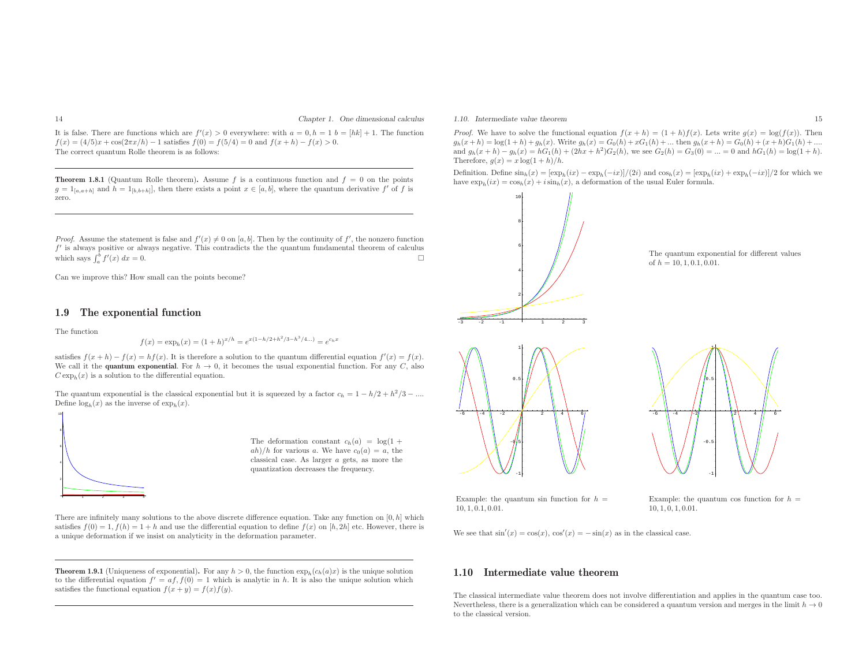It is false. There are functions which are  $f'(x) > 0$  everywhere: with  $a = 0, h = 1$   $b = [hk] + 1$ . The function  $f(x) = (4/5)x + \cos(2\pi x/h) - 1$  satisfies  $f(0) = f(5/4) = 0$  and  $f(x+h) - f(x) > 0$ . The correct quantum Rolle theorem is as follows:

**Theorem 1.8.1** (Quantum Rolle theorem). Assume f is a continuous function and  $f = 0$  on the points  $g = 1_{[a,a+h]}$  and  $h = 1_{[b,b+h]}$ , then there exists a point  $x \in [a,b]$ , where the quantum derivative  $f'$  of  $f$  is zero.

*Proof.* Assume the statement is false and  $f'(x) \neq 0$  on [a, b]. Then by the continuity of  $f'$ , the nonzero function f' is always positive or always negative. This contradicts the the quantum fundamental theorem of calculus which says  $\int_{a}^{b} f'(x) dx = 0$ . which says  $\int_{a}^{b} f'(x) dx = 0$ .  $\int_a^b f'(x) \, dx = 0.$ 

Can we improve this? How small can the points become?

#### 1.9 The exponential function

The function

$$
f(x) = \exp_h(x) = (1+h)^{x/h} = e^{x(1-h/2+h^2/3-h^3/4...)} = e^{c_h x}
$$

satisfies  $f(x+h) - f(x) = hf(x)$ . It is therefore a solution to the quantum differential equation  $f'(x) = f(x)$ . We call it the **quantum exponential**. For  $h \to 0$ , it becomes the usual exponential function. For any C, also  $C_{\text{evn}}(x)$  is a solution to the differential equation  $C \exp_h(x)$  is a solution to the differential equation.

The quantum exponential is the classical exponential but it is squeezed by a factor  $c_h = 1 - h/2 + h^2/3 - ...$ Define  $\log_h(x)$  as the inverse of  $\exp_h(x)$ .



The deformation constant  $c_h(a) = \log(1 +$  $\frac{a h}{h}$  for various a. We have  $c_0(a) = a$ , the classical case. As larger <sup>a</sup> gets, as more the quantization decreases the frequency.

There are infinitely many solutions to the above discrete difference equation. Take any function on  $[0,h]$  which satisfies  $f(0) = 1, f(h) = 1 + h$  and use the differential equation to define  $f(x)$  on  $[h, 2h]$  etc. However, there is <sup>a</sup> unique deformation if we insist on analyticity in the deformation parameter.

**Theorem 1.9.1** (Uniqueness of exponential). For any  $h > 0$ , the function  $\exp_h(c_h(a)x)$  is the unique solution to the differential equation  $f' = af, f(0) = 1$  which is analytic in h. It is also the unique solution which satisfies the functional equation  $f(x + y) = f(x)f(y)$ .

1.10. Intermediate value theorem

*Proof.* We have to solve the functional equation  $f(x + h) = (1 + h)f(x)$ . Lets write  $g(x) = \log(f(x))$ . Then  $g_h(x+h) = \log(1+h) + g_h(x)$ . Write  $g_h(x) = G_0(h) + xG_1(h) + ...$  then  $g_h(x+h) = G_0(h) + (x+h)G_1(h) + ...$ and  $g_h(x+h) - g_h(x) = hG_1(h) + (2hx + h^2)G_2(h)$ , we see  $G_2(h) = G_3(0) = ... = 0$  and  $hG_1(h) = \log(1 + h)$ . Therefore,  $g(x) = x \log(1 + h)/h$ .

Definition. Define  $\sin_h(x) = [\exp_h(ix) - \exp_h(-ix)]/(2i)$  and  $\cos_h(x) = [\exp_h(ix) + \exp_h(-ix)]/2$  for which we have  $\exp_h(ix) = \cos_h(x) + i \sin_h(x)$ , a deformation of the usual Euler formula.







-1

Example: the quantum sin function for  $h =$  $10, 1, 0.1, 0.01.$ 

Example: the quantum cos function for  $h =$  $10, 1, 0, 1, 0.01.$ 

 $6 \left| \begin{array}{cc} -4 & -2 \end{array} \right|$   $\left| \begin{array}{cc} 2 \end{array} \right|$  4  $\left| \begin{array}{cc} 6 \end{array} \right|$ 

0.5

-1

-0.5

We see that  $sin'(x) = cos(x)$ ,  $cos'(x) = -sin(x)$  as in the classical case.

#### 1.10 Intermediate value theorem

The classical intermediate value theorem does not involve differentiation and applies in the quantum case too. Nevertheless, there is a generalization which can be considered a quantum version and merges in the limit  $h \to 0$ <br>to the classical version to the classical version.

-6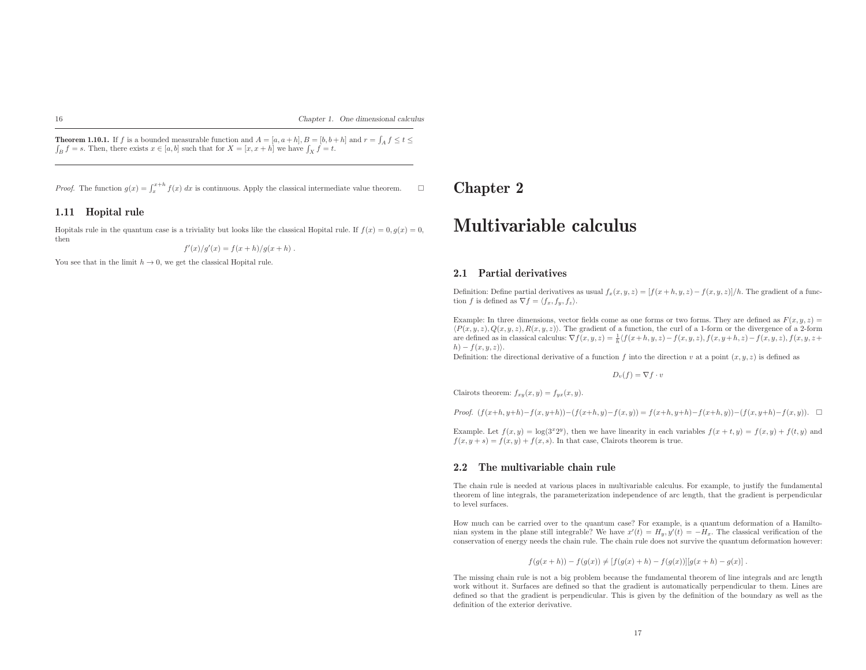**Theorem 1.10.1.** If f is a bounded measurable function and  $A = [a, a+h], B = [b, b+h]$  and  $r = \int_A f \le t \le$  $\int_B f = s$ . Then, there exists  $x \in [a, b]$  such that for  $X = [x, x + h]$  we have  $\int_X f = t$ .

*Proof.* The function  $g(x) = \int_x^{x+h} f(x) dx$  is continuous. Apply the classical intermediate value theorem.

#### 1.11 Hopital rule

Hopitals rule in the quantum case is a triviality but looks like the classical Hopital rule. If  $f(x) = 0, g(x) = 0$ , then

$$
f'(x)/g'(x) = f(x+h)/g(x+h) .
$$

You see that in the limit  $h \to 0$ , we get the classical Hopital rule.

### Chapter <sup>2</sup>

# Multivariable calculus

#### 2.1 Partial derivatives

Definition: Define partial derivatives as usual  $f_x(x, y, z) = [f(x+h, y, z) - f(x, y, z)]/h$ . The gradient of a function f is defined as  $\nabla f = \langle f_x, f_y, f_z \rangle$ .

Example: In three dimensions, vector fields come as one forms or two forms. They are defined as  $F(x, y, z) =$  $\langle P(x, y, z), Q(x, y, z), R(x, y, z) \rangle$ . The gradient of a function, the curl of a 1-form or the divergence of a 2-form are defined as in classical calculus:  $\nabla f(x, y, z) = \frac{1}{h} \langle f(x+h, y, z) - f(x, y, z), f(x, y+h, z) - f(x, y, z), f(x, y, z+h, z) \rangle$  $h) - f(x, y, z)$ .

Definition: the directional derivative of a function f into the direction v at a point  $(x, y, z)$  is defined as

$$
D_v(f) = \nabla f \cdot v
$$

Clairots theorem:  $f_{xy}(x, y) = f_{yx}(x, y)$ .

*Proof.*  $(f(x+h, y+h)-f(x, y+h))-(f(x+h, y)-f(x, y)) = f(x+h, y+h)-f(x+h, y))-(f(x, y+h)-f(x, y)).$  □

Example. Let  $f(x, y) = \log(3^{x}2^{y})$ , then we have linearity in each variables  $f(x + t, y) = f(x, y) + f(t, y)$  and  $f(x, y + s) = f(x, y) + f(x, s)$ . In that case, Clairots theorem is true.

#### 2.2 The multivariable chain rule

The chain rule is needed at various <sup>p</sup>laces in multivariable calculus. For example, to justify the fundamental theorem of line integrals, the parameterization independence of arc length, that the gradient is perpendicular to level surfaces.

How much can be carried over to the quantum case? For example, is <sup>a</sup> quantum deformation of <sup>a</sup> Hamiltonian system in the plane still integrable? We have  $x'(t) = H_y, y'(t) = -H_x$ . The classical verification of the conservation of energy needs the chain rule. The chain rule does not survive the quantum deformation however:

$$
f(g(x+h)) - f(g(x)) \neq [f(g(x)+h) - f(g(x))][g(x+h) - g(x)].
$$

The missing chain rule is not <sup>a</sup> big problem because the fundamental theorem of line integrals and arc length work without it. Surfaces are defined so that the gradient is automatically perpendicular to them. Lines are defined so that the gradient is perpendicular. This is <sup>g</sup>iven by the definition of the boundary as well as the definition of the exterior derivative.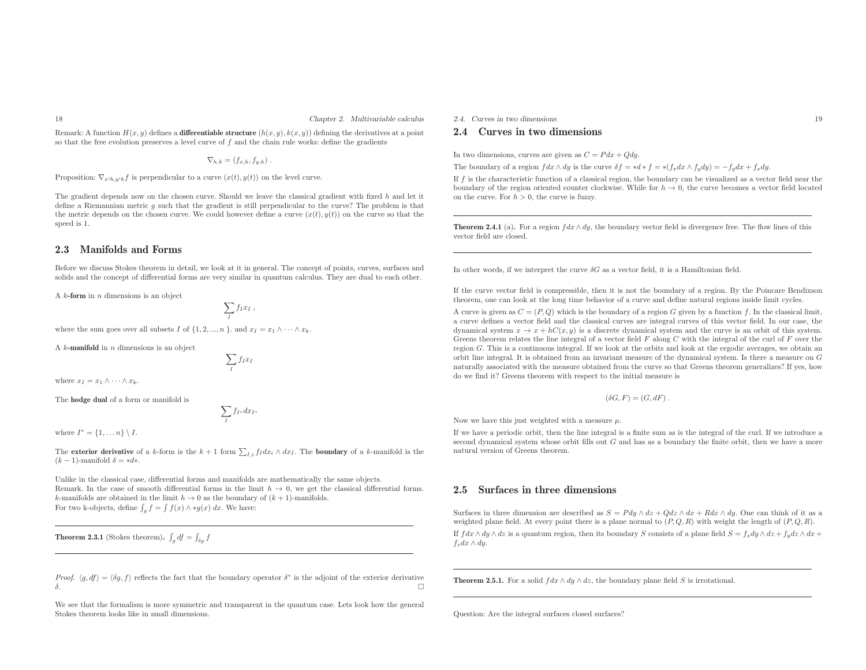Chapter 2. Multivariable calculus

Remark: A function  $H(x, y)$  defines a **differentiable structure**  $(h(x, y), k(x, y))$  defining the derivatives at a point so that the free evolution preserves a level curve of  $f$  and the chain rule works: define the gradients

$$
\nabla_{h,k} = (f_{x,h}, f_{y,k}) .
$$

Proposition:  $\nabla_{x'h,y'k} f$  is perpendicular to a curve  $(x(t), y(t))$  on the level curve.

The gradient depends now on the chosen curve. Should we leave the classical gradient with fixed  $h$  and let it define <sup>a</sup> Riemannian metric <sup>g</sup> such that the gradient is still perpendicular to the curve? The problem is that the metric depends on the chosen curve. We could however define a curve  $(x(t), y(t))$  on the curve so that the speed is 1.

#### 2.3 Manifolds and Forms

18

Before we discuss Stokes theorem in detail, we look at it in general. The concept of points, curves, surfaces andsolids and the concept of differential forms are very similar in quantum calculus. They are dual to each other.

A  $k$ -form in  $n$  dimensions is an object

$$
\sum_I f_I x_I ,
$$

 $\sum f_I x_I$ I

where the sum goes over all subsets I of  $\{1, 2, ..., n\}$ . and  $x_I = x_1 \wedge \cdots \wedge x_k$ .

A  $k$ -manifold in  $n$  dimensions is an object

where  $x_I = x_1 \wedge \cdots \wedge x_k$ .

The hodge dual of <sup>a</sup> form or manifold is

$$
\sum_{I} f_{I^*} dx_{I^*}
$$

where  $I^* = \{1, \ldots n\} \setminus I$ .

The **exterior derivative** of a k-form is the  $k + 1$  form  $\sum_{I,i} f_I dx_i \wedge dx_I$ . The **boundary** of a k-manifold is the  $(k-1)$ -manifold  $\delta = *d*$ .

Unlike in the classical case, differential forms and manifolds are mathematically the same objects. Remark. In the case of smooth differential forms in the limit  $h \to 0$ , we get the classical differential forms.<br>Experificials are obtained in the limit  $h \to 0$  as the boundary of  $(k+1)$ -manifolds. k-manifolds are obtained in the limit  $h \to 0$  as the boundary of  $(k + 1)$ -manifolds.<br>For two k objects, define  $\int_{-h}^{h} f(x) \wedge \star a(x) dx$ . We have For two k-objects, define  $\int_g f = \int f(x) \wedge *g(x) dx$ . We have:

**Theorem 2.3.1** (Stokes theorem).  $\int_g df = \int_{\delta g} f$ 

Proof.  $\langle g, df \rangle = \langle \delta g, f \rangle$  reflects the fact that the boundary operator  $\delta^*$  is the adjoint of the exterior derivative δ.. A construction of the construction of the construction of the construction of the construction of the construction of the construction of the construction of the construction of the construction of the construction of th

We see that the formalism is more symmetric and transparent in the quantum case. Lets look how the genera<sup>l</sup> Stokes theorem looks like in small dimensions.

#### 2.4. Curves in two dimensions 19

#### 2.4 Curves in two dimensions

In two dimensions, curves are given as  $C = P dx + Q dy$ .

The boundary of a region  $fdx \wedge dy$  is the curve  $\delta f = *d * f = * (f_x dx \wedge f_y dy) = -f_y dx + f_x dy$ .

If f is the characteristic function of <sup>a</sup> classical region, the boundary can be visualized as <sup>a</sup> vector field near the boundary of the region oriented counter clockwise. While for  $h \to 0$ , the curve becomes a vector field located<br>on the curve For  $h > 0$  the curve is fuzzy on the curve. For  $h > 0$ , the curve is fuzzy.

**Theorem 2.4.1** (a). For a region  $fdx \wedge dy$ , the boundary vector field is divergence free. The flow lines of this vector field are closed.

In other words, if we interpret the curve  $\delta G$  as a vector field, it is a Hamiltonian field.

If the curve vector field is compressible, then it is not the boundary of <sup>a</sup> region. By the Poincare Bendixsontheorem, one can look at the long time behavior of <sup>a</sup> curve and define natural regions inside limit cycles.

A curve is given as  $C = (P, Q)$  which is the boundary of a region G given by a function f. In the classical limit, <sup>a</sup> curve defines <sup>a</sup> vector field and the classical curves are integral curves of this vector field. In our case, the dynamical system  $x \to x + hC(x, y)$  is a discrete dynamical system and the curve is an orbit of this system.<br>Create theorem relates the line integral of a vector field E along C with the integral of the curl of E over the dynamical system  $x \to x + \hbar C(x, y)$  is a discrete dynamical system and the curve is an orbit of this system.<br>Greens theorem relates the line integral of a vector field F along C with the integral of the curl of F over the region <sup>G</sup>. This is <sup>a</sup> continuous integral. If we look at the orbits and look at the ergodic averages, we obtain an orbit line integral. It is obtained from an invariant measure of the dynamical system. Is there <sup>a</sup> measure on <sup>G</sup> naturally associated with the measure obtained from the curve so that Greens theorem generalizes? If yes, howdo we find it? Greens theorem with respect to the initial measure is

$$
(\delta G, F) = (G, dF) .
$$

Now we have this just weighted with a measure  $\mu$ .

If we have <sup>a</sup> periodic orbit, then the line integral is <sup>a</sup> finite sum as is the integral of the curl. If we introduce <sup>a</sup> second dynamical system whose orbit fills out  $G$  and has as a boundary the finite orbit, then we have a more natural version of Greens theorem.

#### 2.5 Surfaces in three dimensions

Surfaces in three dimension are described as  $S = P dy \wedge dz + Q dz \wedge dx + R dx \wedge dy$ . One can think of it as a weighted plane field. At every point there is a plane normal to  $(P, Q, R)$  with weight the length of  $(P, Q, R)$ .

If  $fdx \wedge dy \wedge dz$  is a quantum region, then its boundary S consists of a plane field  $S = f_x dy \wedge dz + f_y dz \wedge dx + f_y dz \wedge dz + f_z dz \wedge dz + f_z dz \wedge dz + f_z dz \wedge dz + f_z dz \wedge dz + f_z dz \wedge dz + f_z dz \wedge dz + f_z dz \wedge dz + f_z dz \wedge dz + f_z dz \wedge dz + f_z dz \wedge dz + f_z dz \wedge dz + f_z dz \wedge dz + f_z dz \wedge dz + f_z dz \wedge dz$  $f_z dx \wedge dy$ .

**Theorem 2.5.1.** For a solid  $fdx \wedge dy \wedge dz$ , the boundary plane field S is irrotational.

Question: Are the integral surfaces closed surfaces?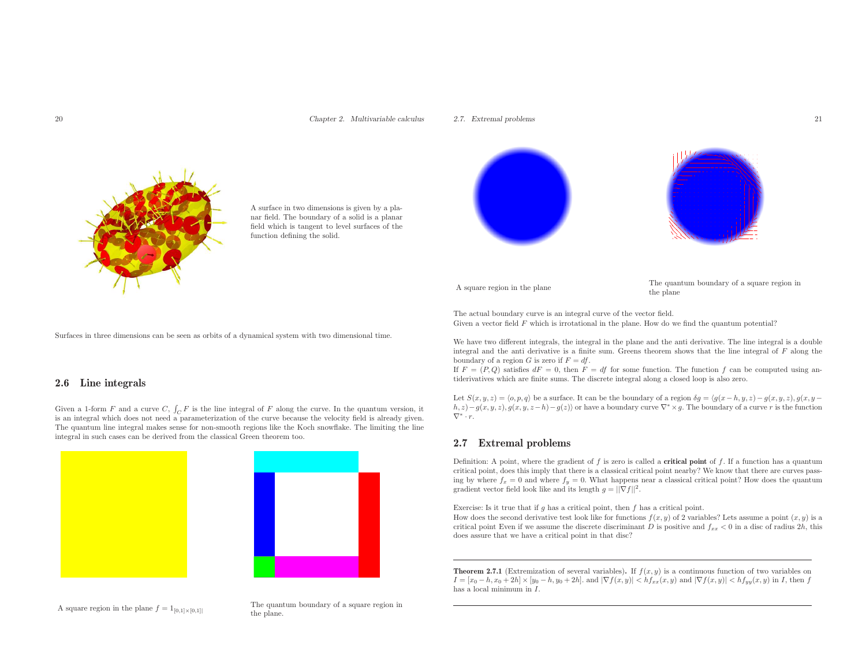#### Chapter 2. Multivariable calculus

#### 2.7. Extremal problems 21



<sup>A</sup> surface in two dimensions is <sup>g</sup>iven by <sup>a</sup> <sup>p</sup>lanar field. The boundary of <sup>a</sup> solid is <sup>a</sup> <sup>p</sup>lanar field which is tangent to level surfaces of the function defining the solid.

Surfaces in three dimensions can be seen as orbits of <sup>a</sup> dynamical system with two dimensional time.

#### 2.6 Line integrals

Given a 1-form F and a curve C,  $\int_C F$  is the line integral of F along the curve. In the quantum version, it<br>is an integral which does not need a parameterization of the curve because the velocity field is already given is an integral which does not need <sup>a</sup> parameterization of the curve because the velocity field is already <sup>g</sup>iven. The quantum line integral makes sense for non-smooth regions like the Koch snowflake. The limiting the line integral in such cases can be derived from the classical Green theorem too.





A square region in the plane  $f = 1_{[0,1] \times [0,1]}$  The quantum boundary of a square region in the plane.



A square region in the plane The quantum boundary of a square region in the plane  $\qquad$  the plane

The actual boundary curve is an integral curve of the vector field. Given a vector field  $F$  which is irrotational in the plane. How do we find the quantum potential?

We have two different integrals, the integral in the <sup>p</sup>lane and the anti derivative. The line integral is <sup>a</sup> double integral and the anti derivative is a finite sum. Greens theorem shows that the line integral of  $F$  along the boundary of a region G is zero if  $F = df$ .

If  $F = (P, Q)$  satisfies  $dF = 0$ , then  $F = df$  for some function. The function f can be computed using antiderivatives which are finite sums. The discrete integral along <sup>a</sup> closed loop is also zero.

Let  $S(x, y, z) =$  $h, z)-g(x, y, z), g(x, y, z-h)-g(z)$  or have a boundary curve  $\nabla^* \times g$ . The boundary of a curve r is the function  $\nabla^* \cdot r$ .

#### 2.7 Extremal problems

Definition: A point, where the gradient of f is zero is called a **critical point** of f. If a function has a quantum critical point, does this imply that there is <sup>a</sup> classical critical point nearby? We know that there are curves passing by where  $f_x = 0$  and where  $f_y = 0$ . What happens near a classical critical point? How does the quantum gradient vector field look like and its length  $g = ||\nabla f||^2$ .

Exercise: Is it true that if  $g$  has a critical point, then  $f$  has a critical point.

How does the second derivative test look like for functions  $f(x, y)$  of 2 variables? Lets assume a point  $(x, y)$  is a critical point Even if we assume the discrete discriminant D is positive and  $f_{xx} < 0$  in a disc of radius 2h, this does assure that we have <sup>a</sup> critical point in that disc?

**Theorem 2.7.1** (Extremization of several variables). If  $f(x, y)$  is a continuous function of two variables on  $I = [x_0 - h, x_0 + 2h] \times [y_0 - h, y_0 + 2h]$ . and  $|\nabla f(x, y)| < h f_{xx}(x, y)$  and  $|\nabla f(x, y)| < h f_{yy}(x, y)$  in I, then f has <sup>a</sup> local minimum in <sup>I</sup>.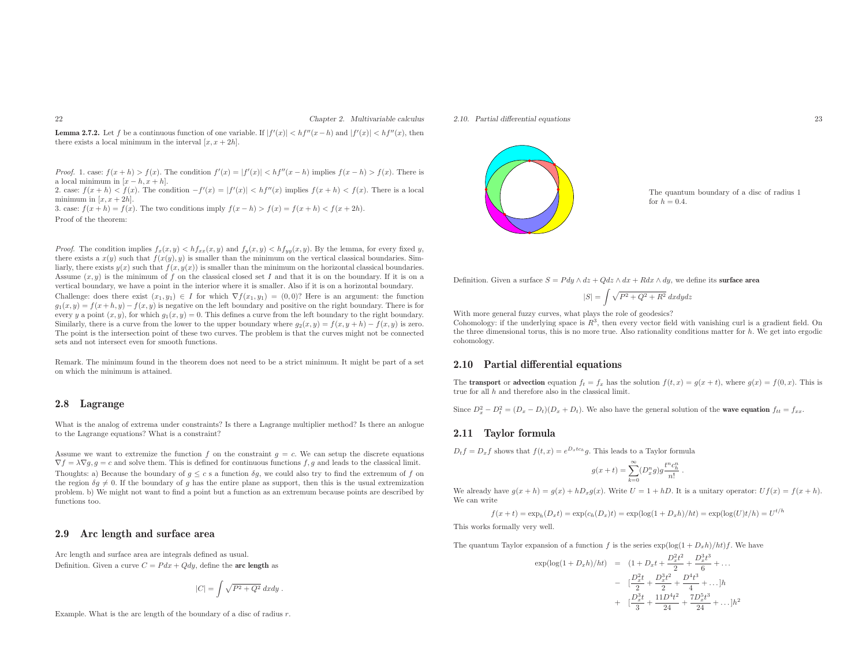#### Chapter 2. Multivariable calculus

**Lemma 2.7.2.** Let f be a continuous function of one variable. If  $|f'(x)| < hf''(x-h)$  and  $|f'(x)| < hf''(x)$ , then there exists a local minimum in the interval  $[x, x + 2h]$ .

Proof. 1. case:  $f(x+h) > f(x)$ . The condition  $f'(x) = |f'(x)| < hf''(x-h)$  implies  $f(x-h) > f(x)$ . There is a local minimum in  $[x-h, x+h]$ .

a local minimum in  $|x - h, x + h|$ .<br>2. case:  $f(x + h) < f(x)$ . The condition  $-f'(x) = |f'(x)| < hf''(x)$  implies  $f(x + h) < f(x)$ . There is a local minimum in  $[x, x+2h]$ .

3. case:  $f(x+h) = f(x)$ . The two conditions imply  $f(x-h) > f(x) = f(x+h) < f(x+2h)$ . Proof of the theorem:

*Proof.* The condition implies  $f_x(x, y) < h f_{xx}(x, y)$  and  $f_y(x, y) < h f_{yy}(x, y)$ . By the lemma, for every fixed y, there exists a  $x(y)$  such that  $f(x(y), y)$  is smaller than the minimum on the vertical classical boundaries. Simliarly, there exists  $y(x)$  such that  $f(x, y(x))$  is smaller than the minimum on the horizontal classical boundaries. Assume  $(x, y)$  is the minimum of f on the classical closed set I and that it is on the boundary. If it is on a vertical boundary, we have <sup>a</sup> point in the interior where it is smaller. Also if it is on <sup>a</sup> horizontal boundary.

Challenge: does there exist  $(x_1, y_1) \in I$  for which  $\nabla f(x_1, y_1) = (0, 0)$ ? Here is an argument: the function  $g_1(x, y) = f(x + h, y) - f(x, y)$  is negative on the left boundary and positive on the right boundary. There is for every y a point  $(x, y)$ , for which  $g_1(x, y) = 0$ . This defines a curve from the left boundary to the right boundary. Similarly, there is a curve from the lower to the upper boundary where  $g_2(x, y) = f(x, y + h) - f(x, y)$  is zero. The point is the intersection point of these two curves. The problem is that the curves might not be connected<br>cate and not intersect curv for greath functions. sets and not intersect even for smooth functions.

Remark. The minimum found in the theorem does not need to be <sup>a</sup> strict minimum. It might be part of <sup>a</sup> set on which the minimum is attained.

#### 2.8 Lagrange

What is the analog of extrema under constraints? Is there <sup>a</sup> Lagrange multiplier method? Is there an anlogue to the Lagrange equations? What is <sup>a</sup> constraint?

Assume we want to extremize the function f on the constraint  $g = c$ . We can setup the discrete equations  $\nabla f = \lambda \nabla g, g = c$  and solve them. This is defined for continuous functions f, g and leads to the classical limit. Thoughts: a) Because the boundary of  $g \leq c$  s a function  $\delta g$ , we could also try to find the extremum of f on the extremum of f on the region  $\delta g \neq 0$ . If the boundary of g has the entire plane as support, then this is the usual extremization problem. b) We might not want to find <sup>a</sup> point but <sup>a</sup> function as an extremum because points are described byfunctions too.

#### 2.9 Arc length and surface area

Arc length and surface area are integrals defined as usual. Definition. Given a curve  $C = P dx + Q dy$ , define the **arc length** as

$$
|C| = \int \sqrt{P^2 + Q^2} \; dx dy \; .
$$

Example. What is the arc length of the boundary of a disc of radius  $r$ .



The quantum boundary of <sup>a</sup> disc of radius <sup>1</sup> for  $h = 0.4$ .

Definition. Given a surface  $S = P dy \wedge dz + Q dz \wedge dx + R dx \wedge dy$ , we define its **surface area** 

$$
|S| = \int \sqrt{P^2 + Q^2 + R^2} \, dxdydz
$$

With more genera<sup>l</sup> fuzzy curves, what <sup>p</sup>lays the role of geodesics?

Cohomology: if the underlying space is  $R<sup>3</sup>$ , then every vector field with vanishing curl is a gradient field. On the three dimensional torus, this is no more true. Also rationality conditions matter for  $h$ . We get into ergodic cohomology.

#### 2.10 Partial differential equations

The **transport** or **advection** equation  $f_t = f_x$  has the solution  $f(t, x) = g(x + t)$ , where  $g(x) = f(0, x)$ . This is true for all  $h$  and therefore also in the classical limit.

Since  $D_x^2 - D_t^2 = (D_x - D_t)(D_x + D_t)$ . We also have the general solution of the **wave equation**  $f_{tt} = f_{xx}$ .

#### 2.11 Taylor formula

 $D_t f = D_x f$  shows that  $f(t, x) = e^{D_x t c_h} g$ . This leads to a Taylor formula

$$
g(x+t) = \sum_{k=0}^{\infty} (D_x^n g) g \frac{t^n c_h^n}{n!}.
$$

We already have  $g(x + h) = g(x) + hD_x g(x)$ . Write  $U = 1 + hD$ . It is a unitary operator:  $Uf(x) = f(x + h)$ . We can write

$$
f(x+t) = \exp_h(D_x t) = \exp(c_h(D_x)t) = \exp(\log(1 + D_x h)/ht) = \exp(\log(U)t/h) = U^{t/h}
$$

This works formally very well.

The quantum Taylor expansion of a function f is the series  $\exp(\log(1 + D_x h)/ht) f$ . We have

$$
\exp(\log(1+D_x h)/ht) = (1+D_x t + \frac{D_x^2 t^2}{2} + \frac{D_x^3 t^3}{6} + \dots
$$

$$
- \left[ \frac{D_x^2 t}{2} + \frac{D_x^3 t^2}{2} + \frac{D^4 t^3}{4} + \dots \right]h
$$

$$
+ \left[ \frac{D_x^3 t}{3} + \frac{11D^4 t^2}{24} + \frac{7D_x^5 t^3}{24} + \dots \right]h^2
$$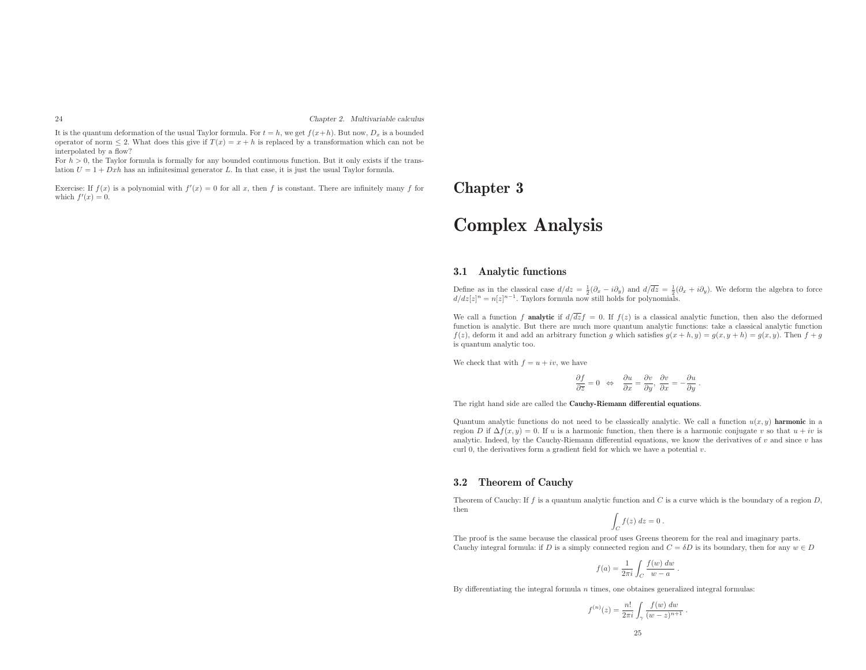It is the quantum deformation of the usual Taylor formula. For  $t = h$ , we get  $f(x+h)$ . But now,  $D_x$  is a bounded operator of norm  $\leq 2$ . What does this give if  $T(x) = x + h$  is replaced by a transformation which can not be interpolated by <sup>a</sup> flow?

For  $h > 0$ , the Taylor formula is formally for any bounded continuous function. But it only exists if the translation  $U = 1 + Dxh$  has an infinitesimal generator L. In that case, it is just the usual Taylor formula.

Exercise: If  $f(x)$  is a polynomial with  $f'(x) = 0$  for all x, then f is constant. There are infinitely many f for **Chapter 3** which  $f'(x) = 0$ . which  $f'(x) = 0$ .

# Complex Analysis

#### 3.1 Analytic functions

Define as in the classical case  $d/dz = \frac{1}{2}(\partial_x - i\partial_y)$  and  $d/\overline{dz} = \frac{1}{2}(\partial_x + i\partial_y)$ . We deform the algebra to force  $d/dz[z]^n = n[z]^{n-1}$ . Taylors formula now still holds for polynomials.

We call a function  $f$  analytic if  $d/dz f = 0$ . If  $f(z)$  is a classical analytic function, then also the deformed function is analytic. But there are much more quantum analytic functions: take <sup>a</sup> classical analytic function $f(z)$ , deform it and add an arbitrary function g which satisfies  $g(x + h, y) = g(x, y + h) = g(x, y)$ . Then  $f + g$ is quantum analytic too.

We check that with  $f = u + iv$ , we have

$$
\frac{\partial f}{\partial \overline{z}} = 0 \Leftrightarrow \frac{\partial u}{\partial x} = \frac{\partial v}{\partial y}, \frac{\partial v}{\partial x} = -\frac{\partial u}{\partial y}.
$$

The right hand side are called the Cauchy-Riemann differential equations.

Quantum analytic functions do not need to be classically analytic. We call a function  $u(x, y)$  harmonic in a region D if  $\Delta f(x, y) = 0$ . If u is a harmonic function, then there is a harmonic conjugate v so that  $u + iv$  is analytic. Indeed, by the Cauchy-Riemann differential equations, we know the derivatives of  $v$  and since  $v$  has curl 0, the derivatives form a gradient field for which we have a potential  $v$ .

#### 3.2 Theorem of Cauchy

Theorem of Cauchy: If f is a quantum analytic function and C is a curve which is the boundary of a region  $D$ , then

$$
\int_C f(z) \ dz = 0 \ .
$$

The proo<sup>f</sup> is the same because the classical proo<sup>f</sup> uses Greens theorem for the real and imaginary parts. Cauchy integral formula: if D is a simply connected region and  $C = \delta D$  is its boundary, then for any  $w \in D$ 

$$
f(a) = \frac{1}{2\pi i} \int_C \frac{f(w) dw}{w - a} .
$$

By differentiating the integral formula  $n$  times, one obtaines generalized integral formulas:

$$
f^{(n)}(z) = \frac{n!}{2\pi i} \int_{\gamma} \frac{f(w) \, dw}{(w-z)^{n+1}} \, .
$$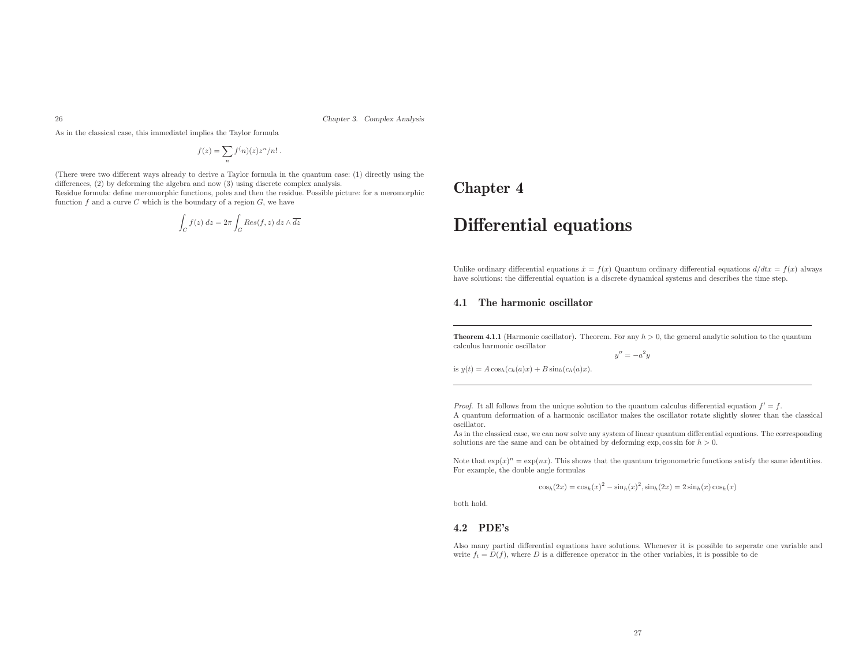Chapter 3. Complex Analysis

As in the classical case, this immediatel implies the Taylor formula

$$
f(z) = \sum_{n} f^{(n)}(z) z^{n} / n! .
$$

(There were two different ways already to derive <sup>a</sup> Taylor formula in the quantum case: (1) directly using the differences, (2) by deforming the algebra and now (3) using discrete complex analysis.

Residue formula: define meromorphic functions, poles and then the residue. Possible <sup>p</sup>icture: for <sup>a</sup> meromorphic function  $f$  and a curve  $C$  which is the boundary of a region  $G$ , we have

$$
\int_C f(z) dz = 2\pi \int_G Res(f, z) dz \wedge \overline{dz}
$$

### Chapter <sup>4</sup>

# Differential equations

Unlike ordinary differential equations  $\dot{x} = f(x)$  Quantum ordinary differential equations  $d/dtx = f(x)$  always Unlike ordinary differential equations  $x = f(x)$  Quantum ordinary differential equations  $a/dxx = f$  have solutions: the differential equation is a discrete dynamical systems and describes the time step.

#### 4.1 The harmonic oscillator

**Theorem 4.1.1** (Harmonic oscillator). Theorem. For any  $h > 0$ , the general analytic solution to the quantum calculus harmonic oscillator

 $y'' = -a^2y$ 

is  $y(t) = A \cos_h(c_h(a)x) + B \sin_h(c_h(a)x)$ .

*Proof.* It all follows from the unique solution to the quantum calculus differential equation  $f' = f$ . <sup>A</sup> quantum deformation of <sup>a</sup> harmonic oscillator makes the oscillator rotate slightly slower than the classical oscillator.

 As in the classical case, we can now solve any system of linear quantum differential equations. The corresponding solutions are the same and can be obtained by deforming exp,  $\cos \sin$  for  $h > 0$ .

Note that  $\exp(x)^n = \exp(nx)$ . This shows that the quantum trigonometric functions satisfy the same identities. For example, the double angle formulas

$$
\cos_h(2x) = \cos_h(x)^2 - \sin_h(x)^2, \sin_h(2x) = 2\sin_h(x)\cos_h(x)
$$

both hold.

#### 4.2 PDE's

Also many partial differential equations have solutions. Whenever it is possible to seperate one variable andwrite  $f_t = D(f)$ , where D is a difference operator in the other variables, it is possible to de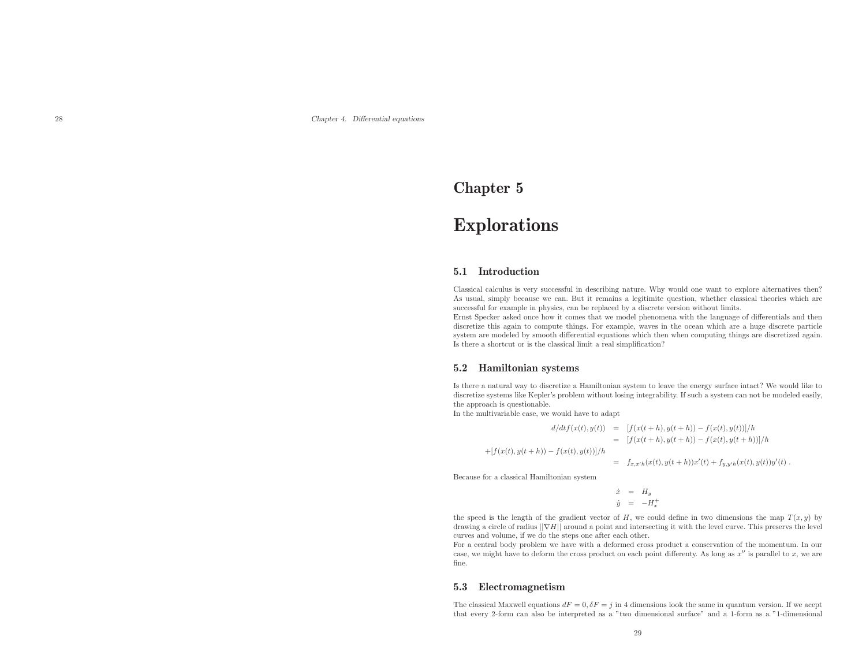### Chapter <sup>5</sup>

# Explorations

#### 5.1 Introduction

Classical calculus is very successful in describing nature. Why would one want to explore alternatives then? As usual, simply because we can. But it remains <sup>a</sup> legitimite question, whether classical theories which are successful for example in <sup>p</sup>hysics, can be replaced by <sup>a</sup> discrete version without limits.

Ernst Specker asked once how it comes that we model <sup>p</sup>henomena with the language of differentials and then discretize this again to compute things. For example, waves in the ocean which are <sup>a</sup> huge discrete particle system are modeled by smooth differential equations which then when computing things are discretized again. Is there <sup>a</sup> shortcut or is the classical limit <sup>a</sup> real simplification?

#### 5.2 Hamiltonian systems

Is there <sup>a</sup> natural way to discretize <sup>a</sup> Hamiltonian system to leave the energy surface intact? We would like to discretize systems like Kepler's problem without losing integrability. If such <sup>a</sup> system can not be modeled easily, the approac<sup>h</sup> is questionable.

In the multivariable case, we would have to adapt

$$
d/dt f(x(t), y(t)) = [f(x(t+h), y(t+h)) - f(x(t), y(t))]/h
$$
  
\n
$$
= [f(x(t+h), y(t+h)) - f(x(t), y(t+h))]/h
$$
  
\n
$$
+ [f(x(t), y(t+h)) - f(x(t), y(t))]/h
$$
  
\n
$$
= f_{x,x'h}(x(t), y(t+h))x'(t) + f_{y,y'h}(x(t), y(t))y'(t).
$$

Because for <sup>a</sup> classical Hamiltonian system

$$
\begin{array}{rcl}\n\dot{x} & = & H_y \\
\dot{y} & = & -H_x^+ \\
\end{array}
$$

the speed is the length of the gradient vector of  $H$ , we could define in two dimensions the map  $T(x, y)$  by drawing a circle of radius  $\|\nabla H\|$  around a point and intersecting it with the level curve. This preservs the level curves and volume, if we do the steps one after each other.

For <sup>a</sup> central body problem we have with <sup>a</sup> deformed cross product <sup>a</sup> conservation of the momentum. In our case, we might have to deform the cross product on each point differenty. As long as  $x''$  is parallel to  $x$ , we are fine.

#### 5.3 Electromagnetism

The classical Maxwell equations  $dF = 0$ ,  $\delta F = j$  in 4 dimensions look the same in quantum version. If we accept that every 2-form can also be interpreted as <sup>a</sup> "two dimensional surface" and <sup>a</sup> 1-form as <sup>a</sup> "1-dimensional